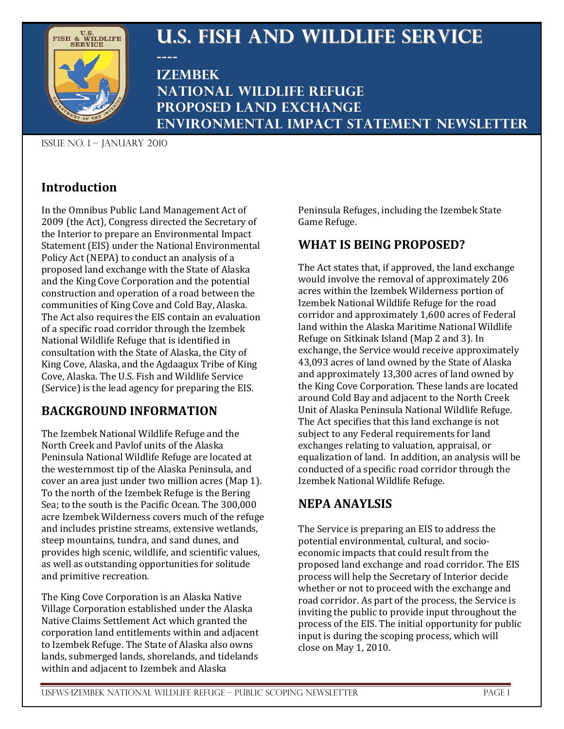

# **U.S. Fish and Wildlife Service**

**---- Izembek National Wildlife Refuge Proposed Land Exchange Environmental Impact Statement Newsletter**

Issue no. 1 – January 2010

## **Introduction**

In the Omnibus Public Land Management Act of 2009 (the Act), Congress directed the Secretary of the Interior to prepare an Environmental Impact Statement (EIS) under the National Environmental Policy Act (NEPA) to conduct an analysis of a proposed land exchange with the State of Alaska and the King Cove Corporation and the potential construction and operation of a road between the communities of King Cove and Cold Bay, Alaska. The Act also requires the EIS contain an evaluation of a specific road corridor through the Izembek National Wildlife Refuge that is identified in consultation with the State of Alaska, the City of King Cove, Alaska, and the Agdaagux Tribe of King Cove, Alaska. The U.S. Fish and Wildlife Service (Service) is the lead agency for preparing the EIS.

## **BACKGROUND INFORMATION**

The Izembek National Wildlife Refuge and the North Creek and Pavlof units of the Alaska Peninsula National Wildlife Refuge are located at the westernmost tip of the Alaska Peninsula, and cover an area just under two million acres (Map 1). To the north of the Izembek Refuge is the Bering Sea; to the south is the Pacific Ocean. The 300,000 acre Izembek Wilderness covers much of the refuge and includes pristine streams, extensive wetlands, steep mountains, tundra, and sand dunes, and provides high scenic, wildlife, and scientific values, as well as outstanding opportunities for solitude and primitive recreation.

The King Cove Corporation is an Alaska Native Village Corporation established under the Alaska Native Claims Settlement Act which granted the corporation land entitlements within and adjacent to Izembek Refuge. The State of Alaska also owns lands, submerged lands, shorelands, and tidelands within and adjacent to Izembek and Alaska

Peninsula Refuges, including the Izembek State Game Refuge.

## **WHAT IS BEING PROPOSED?**

The Act states that, if approved, the land exchange would involve the removal of approximately 206 acres within the Izembek Wilderness portion of Izembek National Wildlife Refuge for the road corridor and approximately 1,600 acres of Federal land within the Alaska Maritime National Wildlife Refuge on Sitkinak Island (Map 2 and 3). In exchange, the Service would receive approximately 43,093 acres of land owned by the State of Alaska and approximately 13,300 acres of land owned by the King Cove Corporation. These lands are located around Cold Bay and adjacent to the North Creek Unit of Alaska Peninsula National Wildlife Refuge. The Act specifies that this land exchange is not subject to any Federal requirements for land exchanges relating to valuation, appraisal, or equalization of land. In addition, an analysis will be conducted of a specific road corridor through the Izembek National Wildlife Refuge.

## **NEPA ANAYLSIS**

The Service is preparing an EIS to address the potential environmental, cultural, and socioeconomic impacts that could result from the proposed land exchange and road corridor. The EIS process will help the Secretary of Interior decide whether or not to proceed with the exchange and road corridor. As part of the process, the Service is inviting the public to provide input throughout the process of the EIS. The initial opportunity for public input is during the scoping process, which will close on May 1, 2010.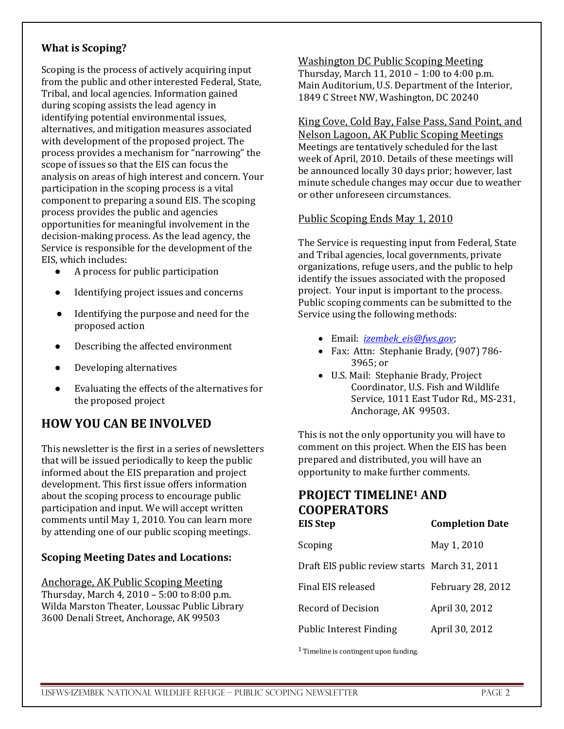#### **What is Scoping?**

Scoping is the process of actively acquiring input from the public and other interested Federal, State, Tribal, and local agencies. Information gained during scoping assists the lead agency in identifying potential environmental issues, alternatives, and mitigation measures associated with development of the proposed project. The process provides a mechanism for "narrowing" the scope of issues so that the EIS can focus the analysis on areas of high interest and concern. Your participation in the scoping process is a vital component to preparing a sound EIS. The scoping process provides the public and agencies opportunities for meaningful involvement in the decision-making process. As the lead agency, the Service is responsible for the development of the EIS, which includes:<br>
• A process for

- A process for public participation
- Identifying project issues and concerns
- Identifying the purpose and need for the proposed action
- Describing the affected environment
- Developing alternatives
- Evaluating the effects of the alternatives for the proposed project

## **HOW YOU CAN BE INVOLVED**

This newsletter is the first in a series of newsletters that will be issued periodically to keep the public informed about the EIS preparation and project development. This first issue offers information about the scoping process to encourage public participation and input. We will accept written comments until May 1, 2010. You can learn more by attending one of our public scoping meetings.

#### **Scoping Meeting Dates and Locations:**

Anchorage, AK Public Scoping Meeting Thursday, March 4, 2010 – 5:00 to 8:00 p.m. Wilda Marston Theater, Loussac Public Library 3600 Denali Street, Anchorage, AK 99503

Washington DC Public Scoping Meeting Thursday, March 11, 2010 – 1:00 to 4:00 p.m. Main Auditorium, U.S. Department of the Interior, 1849 C Street NW, Washington, DC 20240

King Cove, Cold Bay, False Pass, Sand Point, and Nelson Lagoon, AK Public Scoping Meetings Meetings are tentatively scheduled for the last week of April, 2010. Details of these meetings will be announced locally 30 days prior; however, last minute schedule changes may occur due to weather or other unforeseen circumstances.

#### Public Scoping Ends May 1, 2010

The Service is requesting input from Federal, State and Tribal agencies, local governments, private organizations, refuge users, and the public to help identify the issues associated with the proposed project. Your input is important to the process. Public scoping comments can be submitted to the Service using the following methods:

- Email: *[izembek\\_eis@fws.gov](mailto:izembek_eis@fws.gov)*;
- Fax: Attn: Stephanie Brady, (907) 786- 3965; or
- U.S. Mail: Stephanie Brady, Project Coordinator, U.S. Fish and Wildlife Service, 1011 East Tudor Rd., MS-231, Anchorage, AK 99503.

This is not the only opportunity you will have to comment on this project. When the EIS has been prepared and distributed, you will have an opportunity to make further comments.

# **PROJECT TIMELINE1 AND COOPERATORS**

| <b>EIS Step</b>                               | <b>Completion Date</b>   |
|-----------------------------------------------|--------------------------|
| Scoping                                       | May 1, 2010              |
| Draft EIS public review starts March 31, 2011 |                          |
| Final EIS released                            | <b>February 28, 2012</b> |
| Record of Decision                            | April 30, 2012           |
| <b>Public Interest Finding</b>                | April 30, 2012           |

<sup>1</sup> Timeline is contingent upon funding.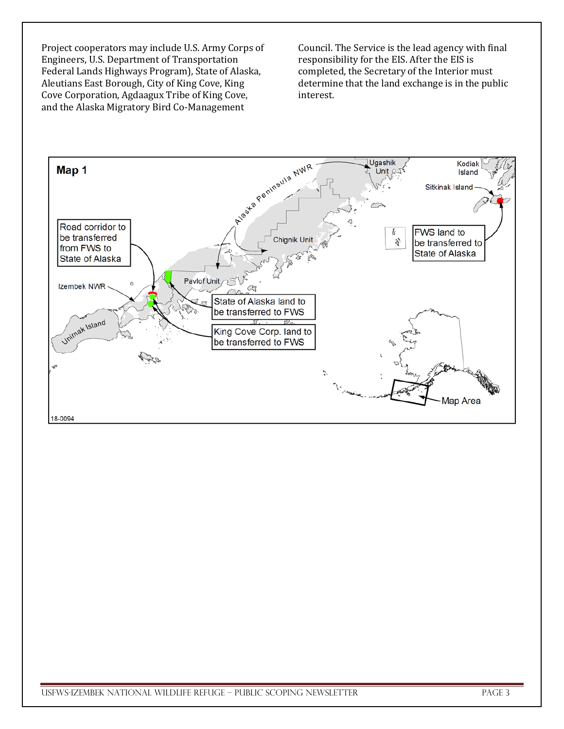Project cooperators may include U.S. Army Corps of Engineers, U.S. Department of Transportation Federal Lands Highways Program), State of Alaska, Aleutians East Borough, City of King Cove, King Cove Corporation, Agdaagux Tribe of King Cove, and the Alaska Migratory Bird Co-Management

Council. The Service is the lead agency with final responsibility for the EIS. After the EIS is completed, the Secretary of the Interior must determine that the land exchange is in the public interest.

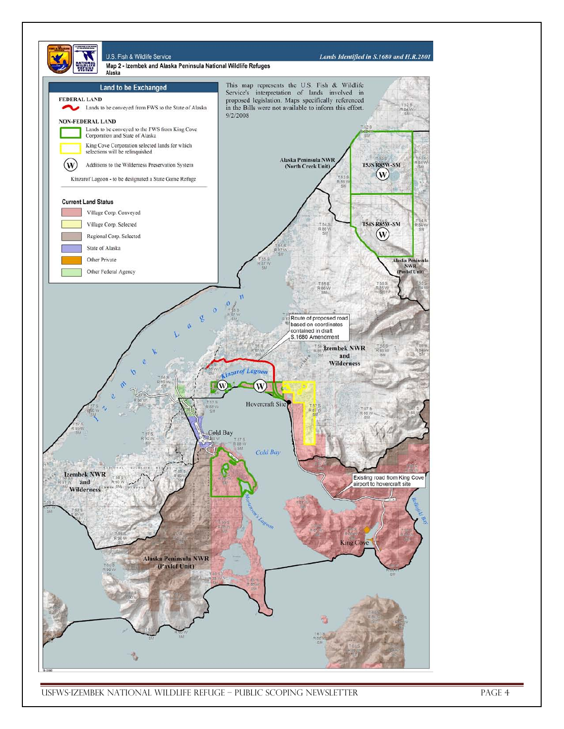